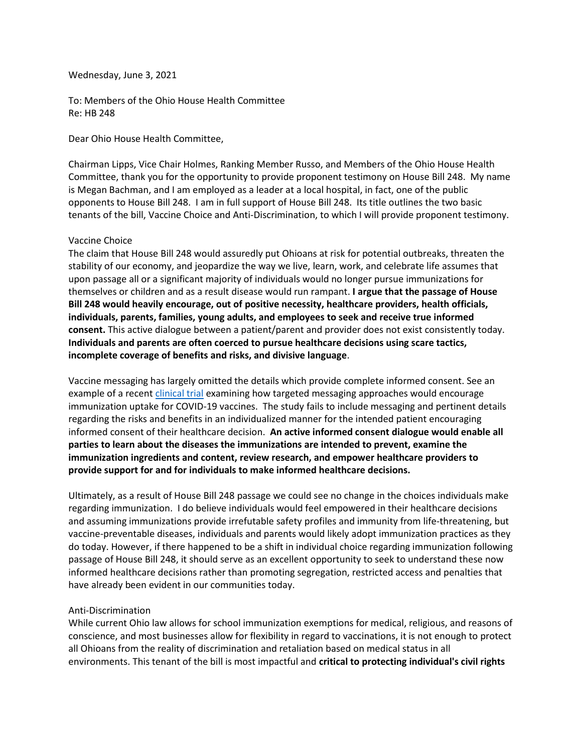Wednesday, June 3, 2021

To: Members of the Ohio House Health Committee Re: HB 248

Dear Ohio House Health Committee,

Chairman Lipps, Vice Chair Holmes, Ranking Member Russo, and Members of the Ohio House Health Committee, thank you for the opportunity to provide proponent testimony on House Bill 248. My name is Megan Bachman, and I am employed as a leader at a local hospital, in fact, one of the public opponents to House Bill 248. I am in full support of House Bill 248. Its title outlines the two basic tenants of the bill, Vaccine Choice and Anti-Discrimination, to which I will provide proponent testimony.

## Vaccine Choice

The claim that House Bill 248 would assuredly put Ohioans at risk for potential outbreaks, threaten the stability of our economy, and jeopardize the way we live, learn, work, and celebrate life assumes that upon passage all or a significant majority of individuals would no longer pursue immunizations for themselves or children and as a result disease would run rampant. **I argue that the passage of House Bill 248 would heavily encourage, out of positive necessity, healthcare providers, health officials, individuals, parents, families, young adults, and employees to seek and receive true informed consent.** This active dialogue between a patient/parent and provider does not exist consistently today. **Individuals and parents are often coerced to pursue healthcare decisions using scare tactics, incomplete coverage of benefits and risks, and divisive language**.

Vaccine messaging has largely omitted the details which provide complete informed consent. See an example of a recent [clinical trial]((https:/clinicaltrials.gov/ct2/show/NCT04460703?term=vaccine&recrs=e&cond=covid-19&draw=2&rank=2)) examining how targeted messaging approaches would encourage immunization uptake for COVID-19 vaccines. The study fails to include messaging and pertinent details regarding the risks and benefits in an individualized manner for the intended patient encouraging informed consent of their healthcare decision. **An active informed consent dialogue would enable all parties to learn about the diseases the immunizations are intended to prevent, examine the immunization ingredients and content, review research, and empower healthcare providers to provide support for and for individuals to make informed healthcare decisions.**

Ultimately, as a result of House Bill 248 passage we could see no change in the choices individuals make regarding immunization. I do believe individuals would feel empowered in their healthcare decisions and assuming immunizations provide irrefutable safety profiles and immunity from life-threatening, but vaccine-preventable diseases, individuals and parents would likely adopt immunization practices as they do today. However, if there happened to be a shift in individual choice regarding immunization following passage of House Bill 248, it should serve as an excellent opportunity to seek to understand these now informed healthcare decisions rather than promoting segregation, restricted access and penalties that have already been evident in our communities today.

## Anti-Discrimination

While current Ohio law allows for school immunization exemptions for medical, religious, and reasons of conscience, and most businesses allow for flexibility in regard to vaccinations, it is not enough to protect all Ohioans from the reality of discrimination and retaliation based on medical status in all environments. This tenant of the bill is most impactful and **critical to protecting individual's civil rights**